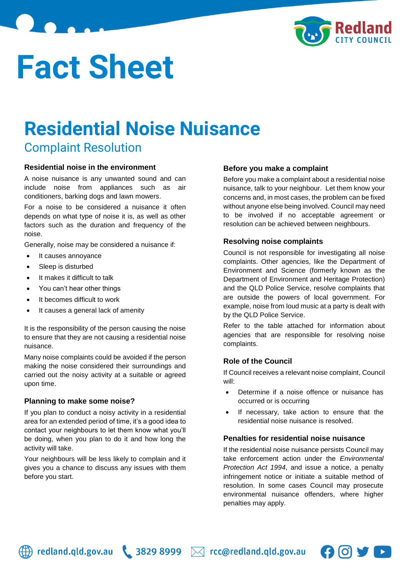

# **Fact Sheet**

## **Residential Noise Nuisance**

Complaint Resolution

#### **Residential noise in the environment**

A noise nuisance is any unwanted sound and can include noise from appliances such as air conditioners, barking dogs and lawn mowers.

For a noise to be considered a nuisance it often depends on what type of noise it is, as well as other factors such as the duration and frequency of the noise.

Generally, noise may be considered a nuisance if:

- It causes annoyance
- Sleep is disturbed
- It makes it difficult to talk
- You can't hear other things
- It becomes difficult to work
- It causes a general lack of amenity

It is the responsibility of the person causing the noise to ensure that they are not causing a residential noise nuisance.

Many noise complaints could be avoided if the person making the noise considered their surroundings and carried out the noisy activity at a suitable or agreed upon time.

#### **Planning to make some noise?**

If you plan to conduct a noisy activity in a residential area for an extended period of time, it's a good idea to contact your neighbours to let them know what you'll be doing, when you plan to do it and how long the activity will take.

Your neighbours will be less likely to complain and it gives you a chance to discuss any issues with them before you start.

#### **Before you make a complaint**

Before you make a complaint about a residential noise nuisance, talk to your neighbour. Let them know your concerns and, in most cases, the problem can be fixed without anyone else being involved. Council may need to be involved if no acceptable agreement or resolution can be achieved between neighbours.

#### **Resolving noise complaints**

Council is not responsible for investigating all noise complaints. Other agencies, like the Department of Environment and Science (formerly known as the Department of Environment and Heritage Protection) and the QLD Police Service, resolve complaints that are outside the powers of local government. For example, noise from loud music at a party is dealt with by the QLD Police Service.

Refer to the table attached for information about agencies that are responsible for resolving noise complaints.

#### **Role of the Council**

If Council receives a relevant noise complaint, Council will:

- Determine if a noise offence or nuisance has occurred or is occurring
- If necessary, take action to ensure that the residential noise nuisance is resolved.

#### **Penalties for residential noise nuisance**

If the residential noise nuisance persists Council may take enforcement action under the *Environmental Protection Act 1994*, and issue a notice, a penalty infringement notice or initiate a suitable method of resolution. In some cases Council may prosecute environmental nuisance offenders, where higher penalties may apply.



 $\bigoplus$  redland.qld.gov.au \ 3829 8999  $\bowtie$  rcc@redland.qld.gov.au